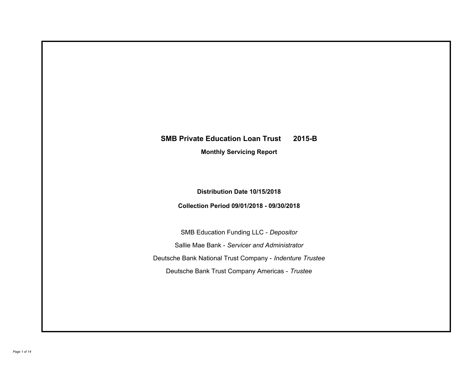# **SMB Private Education Loan Trust 2015-B**

**Monthly Servicing Report**

**Distribution Date 10/15/2018**

**Collection Period 09/01/2018 - 09/30/2018**

SMB Education Funding LLC - *Depositor* Sallie Mae Bank - *Servicer and Administrator* Deutsche Bank National Trust Company - *Indenture Trustee* Deutsche Bank Trust Company Americas - *Trustee*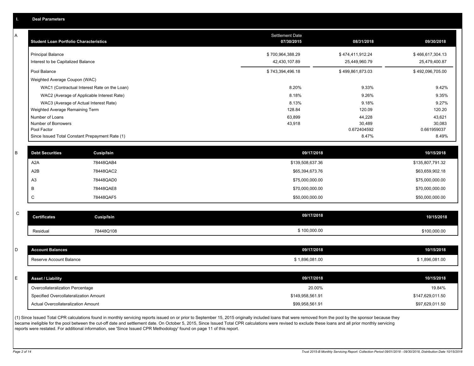|  | <b>Deal Parameters</b> |  |
|--|------------------------|--|
|  |                        |  |
|  |                        |  |

A

| <b>Student Loan Portfolio Characteristics</b>                  | <b>Settlement Date</b><br>07/30/2015 | 08/31/2018                        | 09/30/2018                        |
|----------------------------------------------------------------|--------------------------------------|-----------------------------------|-----------------------------------|
| <b>Principal Balance</b><br>Interest to be Capitalized Balance | \$700,964,388.29<br>42,430,107.89    | \$474,411,912.24<br>25,449,960.79 | \$466,617,304.13<br>25,479,400.87 |
| Pool Balance                                                   | \$743,394,496.18                     | \$499,861,873.03                  | \$492,096,705.00                  |
| Weighted Average Coupon (WAC)                                  |                                      |                                   |                                   |
| WAC1 (Contractual Interest Rate on the Loan)                   | 8.20%                                | 9.33%                             | 9.42%                             |
| WAC2 (Average of Applicable Interest Rate)                     | 8.18%                                | 9.26%                             | 9.35%                             |
| WAC3 (Average of Actual Interest Rate)                         | 8.13%                                | 9.18%                             | 9.27%                             |
| Weighted Average Remaining Term                                | 128.84                               | 120.09                            | 120.20                            |
| Number of Loans                                                | 63,899                               | 44,228                            | 43,621                            |
| Number of Borrowers                                            | 43,918                               | 30,489                            | 30,083                            |
| Pool Factor                                                    |                                      | 0.672404592                       | 0.661959037                       |
| Since Issued Total Constant Prepayment Rate (1)                |                                      | 8.47%                             | 8.49%                             |

| <b>Debt Securities</b> | <b>Cusip/Isin</b> | 09/17/2018       | 10/15/2018       |
|------------------------|-------------------|------------------|------------------|
| A <sub>2</sub> A       | 78448QAB4         | \$139,508,637.36 | \$135,807,791.32 |
| A2B                    | 78448QAC2         | \$65,394,673.76  | \$63,659,902.18  |
| A <sub>3</sub>         | 78448QAD0         | \$75,000,000.00  | \$75,000,000.00  |
|                        | 78448QAE8         | \$70,000,000.00  | \$70,000,000.00  |
| ◡                      | 78448QAF5         | \$50,000,000.00  | \$50,000,000.00  |

| $\sim$<br>◡ | Certificates | Cusip/Isin | 09/17/2018   | 10/15/2018   |
|-------------|--------------|------------|--------------|--------------|
|             | Residual     | 78448Q108  | \$100,000.00 | \$100,000.00 |

| <b>Account Balances</b>          | 09/17/2018     | 10/15/2018     |
|----------------------------------|----------------|----------------|
| Reserve Account Balance          | \$1,896,081.00 | \$1,896,081.00 |
|                                  |                |                |
|                                  |                |                |
| <b>Asset / Liability</b>         | 09/17/2018     | 10/15/2018     |
| Overcollateralization Percentage | 20.00%         | 19.84%         |

(1) Since Issued Total CPR calculations found in monthly servicing reports issued on or prior to September 15, 2015 originally included loans that were removed from the pool by the sponsor because they became ineligible for the pool between the cut-off date and settlement date. On October 5, 2015, Since Issued Total CPR calculations were revised to exclude these loans and all prior monthly servicing reports were restated. For additional information, see 'Since Issued CPR Methodology' found on page 11 of this report.

Actual Overcollateralization Amount \$99,958,561.91

\$97,629,011.50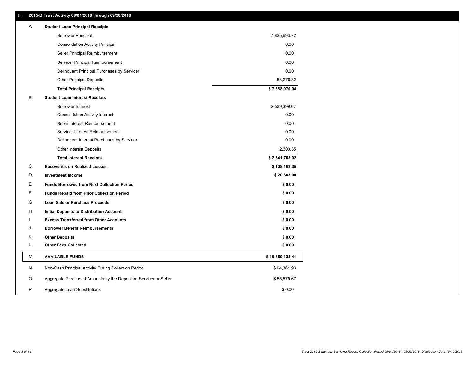| Ш. | 2015-B Trust Activity 09/01/2018 through 09/30/2018              |                 |
|----|------------------------------------------------------------------|-----------------|
| A  | <b>Student Loan Principal Receipts</b>                           |                 |
|    | <b>Borrower Principal</b>                                        | 7,835,693.72    |
|    | <b>Consolidation Activity Principal</b>                          | 0.00            |
|    | Seller Principal Reimbursement                                   | 0.00            |
|    | Servicer Principal Reimbursement                                 | 0.00            |
|    | Delinquent Principal Purchases by Servicer                       | 0.00            |
|    | <b>Other Principal Deposits</b>                                  | 53,276.32       |
|    | <b>Total Principal Receipts</b>                                  | \$7,888,970.04  |
| в  | <b>Student Loan Interest Receipts</b>                            |                 |
|    | Borrower Interest                                                | 2,539,399.67    |
|    | <b>Consolidation Activity Interest</b>                           | 0.00            |
|    | Seller Interest Reimbursement                                    | 0.00            |
|    | Servicer Interest Reimbursement                                  | 0.00            |
|    | Delinquent Interest Purchases by Servicer                        | 0.00            |
|    | <b>Other Interest Deposits</b>                                   | 2,303.35        |
|    | <b>Total Interest Receipts</b>                                   | \$2,541,703.02  |
| C  | <b>Recoveries on Realized Losses</b>                             | \$108,162.35    |
| D  | <b>Investment Income</b>                                         | \$20,303.00     |
| Е  | <b>Funds Borrowed from Next Collection Period</b>                | \$0.00          |
| F  | <b>Funds Repaid from Prior Collection Period</b>                 | \$0.00          |
| G  | <b>Loan Sale or Purchase Proceeds</b>                            | \$0.00          |
| н  | <b>Initial Deposits to Distribution Account</b>                  | \$0.00          |
|    | <b>Excess Transferred from Other Accounts</b>                    | \$0.00          |
| J  | <b>Borrower Benefit Reimbursements</b>                           | \$0.00          |
| κ  | <b>Other Deposits</b>                                            | \$0.00          |
| Г  | <b>Other Fees Collected</b>                                      | \$0.00          |
| М  | <b>AVAILABLE FUNDS</b>                                           | \$10,559,138.41 |
| N  | Non-Cash Principal Activity During Collection Period             | \$94,361.93     |
| O  | Aggregate Purchased Amounts by the Depositor, Servicer or Seller | \$55,579.67     |
| P  | Aggregate Loan Substitutions                                     | \$0.00          |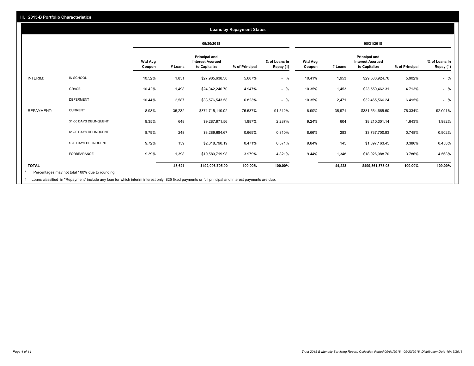### **09/30/2018 08/31/2018 Wtd Avg Coupon # Loans Principal and Interest Accrued to Capitalize % of Principal % of Loans in Repay (1) Wtd Avg Coupon # Loans Principal and Interest Accrued to Capitalize % of Principal % of Loans in Repay (1)**  INTERIM: IN SCHOOL 10.52% 1,851 \$27,985,638.30 5.687% - % 10.41% 1,953 \$29,500,924.76 5.902% - % GRACE 10.42% 1,498 \$24,342,246.70 4.947% - % 10.35% 1,453 \$23,559,462.31 4.713% - % DEFERMENT 10.44% 2,587 \$33,576,543.58 6.823% - % 10.35% 2,471 \$32,465,566.24 6.495% - % REPAYMENT: CURRENT 8.98% 35,232 \$371,715,110.02 75.537% 91.512% 8.90% 35,971 \$381,564,665.50 76.334% 92.091% 31-60 DAYS DELINQUENT 9.35% 648 \$9,287,971.56 1.887% 2.287% 9.24% 604 \$8,210,301.14 1.643% 1.982% 61-90 DAYS DELINQUENT 8.79% 248 \$3,289,684.67 0.669% 0.810% 8.66% 283 \$3,737,700.93 0.748% 0.902% > 90 DAYS DELINQUENT 9.72% 159 \$2,318,790.19 0.471% 0.571% 9.84% 145 \$1,897,163.45 0.380% 0.458% FORBEARANCE 9.39% 1,398 \$19,580,719.98 3.979% 4.821% 9.44% 1,348 \$18,926,088.70 3.786% 4.568% **TOTAL 43,621 \$492,096,705.00 100.00% 100.00% 44,228 \$499,861,873.03 100.00% 100.00% Loans by Repayment Status** Percentages may not total 100% due to rounding \*

Loans classified in "Repayment" include any loan for which interim interest only, \$25 fixed payments or full principal and interest payments are due. 1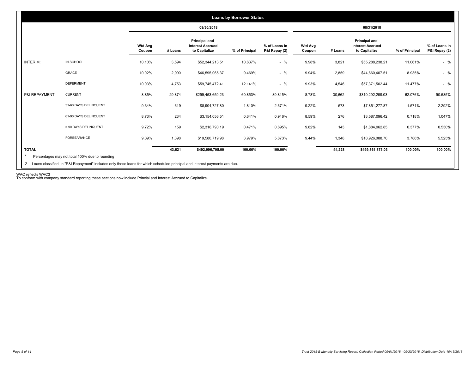|                 |                       |                          |         | 09/30/2018                                                       |                |                                |                          |         | 08/31/2018                                                       |                |                                |
|-----------------|-----------------------|--------------------------|---------|------------------------------------------------------------------|----------------|--------------------------------|--------------------------|---------|------------------------------------------------------------------|----------------|--------------------------------|
|                 |                       | <b>Wtd Avg</b><br>Coupon | # Loans | <b>Principal and</b><br><b>Interest Accrued</b><br>to Capitalize | % of Principal | % of Loans in<br>P&I Repay (2) | <b>Wtd Avg</b><br>Coupon | # Loans | <b>Principal and</b><br><b>Interest Accrued</b><br>to Capitalize | % of Principal | % of Loans in<br>P&I Repay (2) |
| <b>INTERIM:</b> | IN SCHOOL             | 10.10%                   | 3,594   | \$52,344,213.51                                                  | 10.637%        | $-$ %                          | 9.98%                    | 3,821   | \$55,288,238.21                                                  | 11.061%        | $-$ %                          |
|                 | GRACE                 | 10.02%                   | 2,990   | \$46,595,065.37                                                  | 9.469%         | $-$ %                          | 9.94%                    | 2,859   | \$44,660,407.51                                                  | 8.935%         | $-$ %                          |
|                 | <b>DEFERMENT</b>      | 10.03%                   | 4,753   | \$59,745,472.41                                                  | 12.141%        | $-$ %                          | 9.93%                    | 4,546   | \$57,371,502.44                                                  | 11.477%        | $-$ %                          |
| P&I REPAYMENT:  | <b>CURRENT</b>        | 8.85%                    | 29,874  | \$299,453,659.23                                                 | 60.853%        | 89.815%                        | 8.78%                    | 30,662  | \$310,292,299.03                                                 | 62.076%        | 90.585%                        |
|                 | 31-60 DAYS DELINQUENT | 9.34%                    | 619     | \$8,904,727.80                                                   | 1.810%         | 2.671%                         | 9.22%                    | 573     | \$7,851,277.87                                                   | 1.571%         | 2.292%                         |
|                 | 61-90 DAYS DELINQUENT | 8.73%                    | 234     | \$3,154,056.51                                                   | 0.641%         | 0.946%                         | 8.59%                    | 276     | \$3,587,096.42                                                   | 0.718%         | 1.047%                         |
|                 | > 90 DAYS DELINQUENT  | 9.72%                    | 159     | \$2,318,790.19                                                   | 0.471%         | 0.695%                         | 9.82%                    | 143     | \$1,884,962.85                                                   | 0.377%         | 0.550%                         |
|                 | FORBEARANCE           | 9.39%                    | 1,398   | \$19,580,719.98                                                  | 3.979%         | 5.873%                         | 9.44%                    | 1,348   | \$18,926,088.70                                                  | 3.786%         | 5.525%                         |
| <b>TOTAL</b>    |                       |                          | 43,621  | \$492,096,705.00                                                 | 100.00%        | 100.00%                        |                          | 44,228  | \$499,861,873.03                                                 | 100.00%        | 100.00%                        |

WAC reflects WAC3 To conform with company standard reporting these sections now include Princial and Interest Accrued to Capitalize.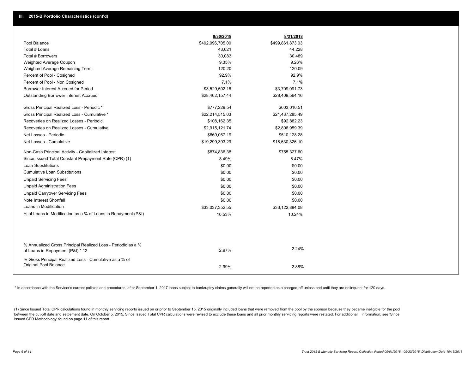|                                                                                                  | 9/30/2018        | 8/31/2018        |  |
|--------------------------------------------------------------------------------------------------|------------------|------------------|--|
| Pool Balance                                                                                     | \$492,096,705.00 | \$499,861,873.03 |  |
| Total # Loans                                                                                    | 43,621           | 44,228           |  |
| Total # Borrowers                                                                                | 30,083           | 30,489           |  |
| Weighted Average Coupon                                                                          | 9.35%            | 9.26%            |  |
| Weighted Average Remaining Term                                                                  | 120.20           | 120.09           |  |
| Percent of Pool - Cosigned                                                                       | 92.9%            | 92.9%            |  |
| Percent of Pool - Non Cosigned                                                                   | 7.1%             | 7.1%             |  |
| Borrower Interest Accrued for Period                                                             | \$3,529,502.16   | \$3,709,091.73   |  |
| Outstanding Borrower Interest Accrued                                                            | \$28,462,157.44  | \$28,409,564.16  |  |
| Gross Principal Realized Loss - Periodic *                                                       | \$777,229.54     | \$603,010.51     |  |
| Gross Principal Realized Loss - Cumulative *                                                     | \$22,214,515.03  | \$21,437,285.49  |  |
| Recoveries on Realized Losses - Periodic                                                         | \$108,162.35     | \$92,882.23      |  |
| Recoveries on Realized Losses - Cumulative                                                       | \$2,915,121.74   | \$2,806,959.39   |  |
| Net Losses - Periodic                                                                            | \$669,067.19     | \$510,128.28     |  |
| Net Losses - Cumulative                                                                          | \$19,299,393.29  | \$18,630,326.10  |  |
| Non-Cash Principal Activity - Capitalized Interest                                               | \$874,836.38     | \$755,327.60     |  |
| Since Issued Total Constant Prepayment Rate (CPR) (1)                                            | 8.49%            | 8.47%            |  |
| <b>Loan Substitutions</b>                                                                        | \$0.00           | \$0.00           |  |
| <b>Cumulative Loan Substitutions</b>                                                             | \$0.00           | \$0.00           |  |
| <b>Unpaid Servicing Fees</b>                                                                     | \$0.00           | \$0.00           |  |
| <b>Unpaid Administration Fees</b>                                                                | \$0.00           | \$0.00           |  |
| <b>Unpaid Carryover Servicing Fees</b>                                                           | \$0.00           | \$0.00           |  |
| Note Interest Shortfall                                                                          | \$0.00           | \$0.00           |  |
| Loans in Modification                                                                            | \$33,037,352.55  | \$33,122,884.08  |  |
| % of Loans in Modification as a % of Loans in Repayment (P&I)                                    | 10.53%           | 10.24%           |  |
|                                                                                                  |                  |                  |  |
| % Annualized Gross Principal Realized Loss - Periodic as a %<br>of Loans in Repayment (P&I) * 12 | 2.97%            | 2.24%            |  |
| % Gross Principal Realized Loss - Cumulative as a % of<br><b>Original Pool Balance</b>           | 2.99%            | 2.88%            |  |

\* In accordance with the Servicer's current policies and procedures, after September 1, 2017 loans subject to bankruptcy claims generally will not be reported as a charged-off unless and until they are delinguent for 120 d

(1) Since Issued Total CPR calculations found in monthly servicing reports issued on or prior to September 15, 2015 originally included loans that were removed from the pool by the sponsor because they became ineligible fo between the cut-off date and settlement date. On October 5, 2015, Since Issued Total CPR calculations were revised to exclude these loans and all prior monthly servicing reports were restated. For additional information, s Issued CPR Methodology' found on page 11 of this report.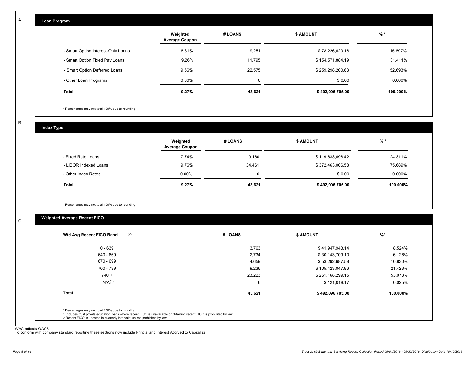| Loan Program                       |                                   |         |                  |          |
|------------------------------------|-----------------------------------|---------|------------------|----------|
|                                    | Weighted<br><b>Average Coupon</b> | # LOANS | <b>\$ AMOUNT</b> | $%$ *    |
| - Smart Option Interest-Only Loans | 8.31%                             | 9,251   | \$78,226,620.18  | 15.897%  |
| - Smart Option Fixed Pay Loans     | 9.26%                             | 11,795  | \$154,571,884.19 | 31.411%  |
| - Smart Option Deferred Loans      | 9.56%                             | 22,575  | \$259,298,200.63 | 52.693%  |
| - Other Loan Programs              | $0.00\%$                          | 0       | \$0.00           | 0.000%   |
| <b>Total</b>                       | 9.27%                             | 43,621  | \$492,096,705.00 | 100.000% |

\* Percentages may not total 100% due to rounding

B

C

A

| <b>Index Type</b>     |                                   |         |                  |          |
|-----------------------|-----------------------------------|---------|------------------|----------|
|                       | Weighted<br><b>Average Coupon</b> | # LOANS | \$ AMOUNT        | $%$ *    |
| - Fixed Rate Loans    | 7.74%                             | 9,160   | \$119,633,698.42 | 24.311%  |
| - LIBOR Indexed Loans | 9.76%                             | 34,461  | \$372,463,006.58 | 75.689%  |
| - Other Index Rates   | $0.00\%$                          | 0       | \$0.00           | 0.000%   |
| <b>Total</b>          | 9.27%                             | 43,621  | \$492,096,705.00 | 100.000% |

\* Percentages may not total 100% due to rounding

# **Weighted Average Recent FICO**

| \$41,947,943.14<br>\$30,143,709.10<br>\$53,292,687.58<br>\$105,423,047.86 | 8.524%<br>6.126%<br>10.830% |
|---------------------------------------------------------------------------|-----------------------------|
|                                                                           |                             |
|                                                                           |                             |
|                                                                           |                             |
|                                                                           | 21.423%                     |
| \$261,168,299.15                                                          | 53.073%                     |
| \$121,018.17                                                              | 0.025%                      |
| \$492,096,705.00                                                          | 100.000%                    |
|                                                                           |                             |

WAC reflects WAC3 To conform with company standard reporting these sections now include Princial and Interest Accrued to Capitalize.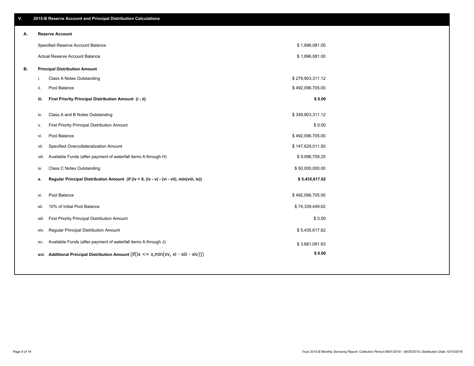\$ 1,896,081.00 \$ 1,896,081.00

| А. | <b>Reserve Account</b>            |
|----|-----------------------------------|
|    | Specified Reserve Account Balance |
|    | Actual Reserve Account Balance    |
|    |                                   |

| В. | <b>Principal Distribution Amount</b> |
|----|--------------------------------------|
|----|--------------------------------------|

| L.    | Class A Notes Outstanding                                                                   | \$279,903,311.12 |  |
|-------|---------------------------------------------------------------------------------------------|------------------|--|
| ii.   | Pool Balance                                                                                | \$492,096,705.00 |  |
| iii.  | First Priority Principal Distribution Amount (i - ii)                                       | \$0.00           |  |
|       |                                                                                             |                  |  |
| iv.   | Class A and B Notes Outstanding                                                             | \$349,903,311.12 |  |
| v.    | First Priority Principal Distribution Amount                                                | \$0.00           |  |
| vi.   | Pool Balance                                                                                | \$492,096,705.00 |  |
| vii.  | Specified Overcollateralization Amount                                                      | \$147,629,011.50 |  |
| viii. | Available Funds (after payment of waterfall items A through H)                              | \$9,096,709.25   |  |
| ix.   | <b>Class C Notes Outstanding</b>                                                            | \$50,000,000.00  |  |
| x.    | Regular Principal Distribution Amount (if (iv > 0, (iv - v) - (vi - vii), min(viii, ix))    | \$5,435,617.62   |  |
|       |                                                                                             |                  |  |
| xi.   | Pool Balance                                                                                | \$492,096,705.00 |  |
| xii.  | 10% of Initial Pool Balance                                                                 | \$74,339,449.62  |  |
| xiii. | First Priority Principal Distribution Amount                                                | \$0.00           |  |
| xiv.  | Regular Principal Distribution Amount                                                       | \$5,435,617.62   |  |
| XV.   | Available Funds (after payment of waterfall items A through J)                              | \$3,661,091.63   |  |
|       | xvi. Additional Principal Distribution Amount (if(ix $\leq$ = x, min(xv, xi - xiii - xiv))) | \$0.00           |  |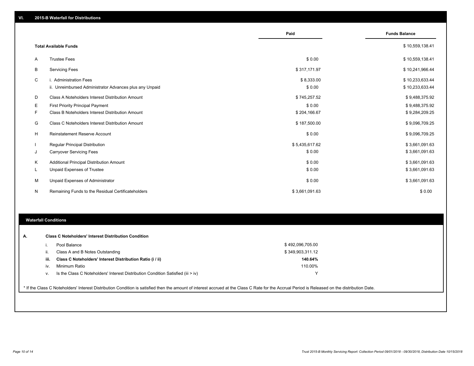|    |                                                         | Paid           | <b>Funds Balance</b> |
|----|---------------------------------------------------------|----------------|----------------------|
|    | <b>Total Available Funds</b>                            |                | \$10,559,138.41      |
| A  | <b>Trustee Fees</b>                                     | \$0.00         | \$10,559,138.41      |
| В  | <b>Servicing Fees</b>                                   | \$317,171.97   | \$10,241,966.44      |
| C  | i. Administration Fees                                  | \$8,333.00     | \$10,233,633.44      |
|    | ii. Unreimbursed Administrator Advances plus any Unpaid | \$0.00         | \$10,233,633.44      |
| D  | Class A Noteholders Interest Distribution Amount        | \$745,257.52   | \$9,488,375.92       |
| Е  | <b>First Priority Principal Payment</b>                 | \$0.00         | \$9,488,375.92       |
| F. | Class B Noteholders Interest Distribution Amount        | \$204,166.67   | \$9,284,209.25       |
| G  | Class C Noteholders Interest Distribution Amount        | \$187,500.00   | \$9,096,709.25       |
| Н  | <b>Reinstatement Reserve Account</b>                    | \$0.00         | \$9,096,709.25       |
|    | <b>Regular Principal Distribution</b>                   | \$5,435,617.62 | \$3,661,091.63       |
| J  | <b>Carryover Servicing Fees</b>                         | \$0.00         | \$3,661,091.63       |
| Κ  | Additional Principal Distribution Amount                | \$0.00         | \$3,661,091.63       |
| L  | Unpaid Expenses of Trustee                              | \$0.00         | \$3,661,091.63       |
| M  | Unpaid Expenses of Administrator                        | \$0.00         | \$3,661,091.63       |
| N  | Remaining Funds to the Residual Certificateholders      | \$3,661,091.63 | \$0.00               |

### **Waterfall Conditions**

| А. |      | <b>Class C Noteholders' Interest Distribution Condition</b>                        |                  |  |
|----|------|------------------------------------------------------------------------------------|------------------|--|
|    |      | Pool Balance                                                                       | \$492,096,705.00 |  |
|    | Ш.   | Class A and B Notes Outstanding                                                    | \$349,903,311.12 |  |
|    | iii. | Class C Noteholders' Interest Distribution Ratio (i / ii)                          | 140.64%          |  |
|    | IV.  | Minimum Ratio                                                                      | 110.00%          |  |
|    | v.   | Is the Class C Noteholders' Interest Distribution Condition Satisfied (iii $>$ iv) | v                |  |

\* If the Class C Noteholders' Interest Distribution Condition is satisfied then the amount of interest accrued at the Class C Rate for the Accrual Period is Released on the distribution Date.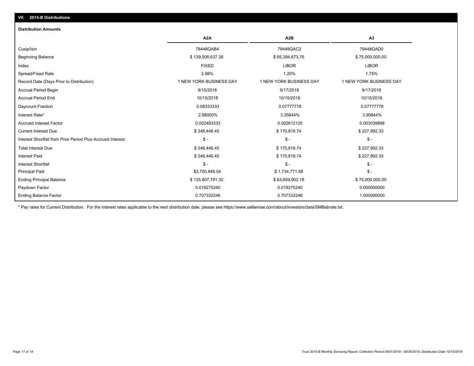# **VII. 2015-B Distributions**

#### **Distribution Amounts**

|                                                            | A <sub>2</sub> A        | A <sub>2</sub> B        | A <sub>3</sub>          |
|------------------------------------------------------------|-------------------------|-------------------------|-------------------------|
| Cusip/Isin                                                 | 78448QAB4               | 78448QAC2               | 78448QAD0               |
| <b>Beginning Balance</b>                                   | \$139,508,637.36        | \$65,394,673.76         | \$75,000,000.00         |
| Index                                                      | <b>FIXED</b>            | <b>LIBOR</b>            | <b>LIBOR</b>            |
| Spread/Fixed Rate                                          | 2.98%                   | 1.20%                   | 1.75%                   |
| Record Date (Days Prior to Distribution)                   | 1 NEW YORK BUSINESS DAY | 1 NEW YORK BUSINESS DAY | 1 NEW YORK BUSINESS DAY |
| <b>Accrual Period Begin</b>                                | 9/15/2018               | 9/17/2018               | 9/17/2018               |
| <b>Accrual Period End</b>                                  | 10/15/2018              | 10/15/2018              | 10/15/2018              |
| Daycount Fraction                                          | 0.08333333              | 0.07777778              | 0.07777778              |
| Interest Rate*                                             | 2.98000%                | 3.35844%                | 3.90844%                |
| <b>Accrued Interest Factor</b>                             | 0.002483333             | 0.002612120             | 0.003039898             |
| <b>Current Interest Due</b>                                | \$346,446.45            | \$170,818.74            | \$227,992.33            |
| Interest Shortfall from Prior Period Plus Accrued Interest | $S -$                   | $\mathsf{\$}$ -         | $\mathsf{\$}$ -         |
| <b>Total Interest Due</b>                                  | \$346,446.45            | \$170,818.74            | \$227,992.33            |
| <b>Interest Paid</b>                                       | \$346,446.45            | \$170,818.74            | \$227,992.33            |
| <b>Interest Shortfall</b>                                  | $\mathsf{\$}$ -         | \$ -                    | $\mathsf{\$}$ -         |
| <b>Principal Paid</b>                                      | \$3,700,846.04          | \$1,734,771.58          | $\mathsf{\$}$ -         |
| <b>Ending Principal Balance</b>                            | \$135,807,791.32        | \$63,659,902.18         | \$75,000,000.00         |
| Paydown Factor                                             | 0.019275240             | 0.019275240             | 0.000000000             |
| <b>Ending Balance Factor</b>                               | 0.707332246             | 0.707332246             | 1.000000000             |

\* Pay rates for Current Distribution. For the interest rates applicable to the next distribution date, please see https://www.salliemae.com/about/investors/data/SMBabrate.txt.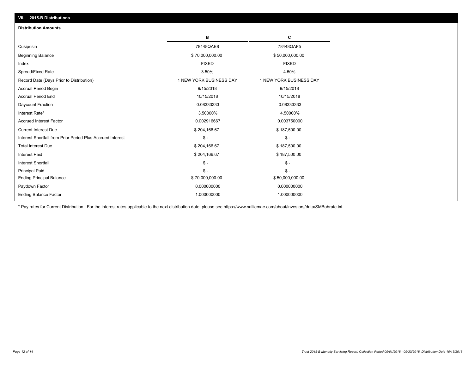| VII. 2015-B Distributions                                  |                         |                         |
|------------------------------------------------------------|-------------------------|-------------------------|
| <b>Distribution Amounts</b>                                |                         |                         |
|                                                            | в                       | C                       |
| Cusip/Isin                                                 | 78448QAE8               | 78448QAF5               |
| Beginning Balance                                          | \$70,000,000.00         | \$50,000,000.00         |
| Index                                                      | <b>FIXED</b>            | <b>FIXED</b>            |
| Spread/Fixed Rate                                          | 3.50%                   | 4.50%                   |
| Record Date (Days Prior to Distribution)                   | 1 NEW YORK BUSINESS DAY | 1 NEW YORK BUSINESS DAY |
| Accrual Period Begin                                       | 9/15/2018               | 9/15/2018               |
| <b>Accrual Period End</b>                                  | 10/15/2018              | 10/15/2018              |
| Daycount Fraction                                          | 0.08333333              | 0.08333333              |
| Interest Rate*                                             | 3.50000%                | 4.50000%                |
| <b>Accrued Interest Factor</b>                             | 0.002916667             | 0.003750000             |
| <b>Current Interest Due</b>                                | \$204,166.67            | \$187,500.00            |
| Interest Shortfall from Prior Period Plus Accrued Interest | $\mathsf{\$}$ -         | $\mathsf{\$}$ -         |
| <b>Total Interest Due</b>                                  | \$204,166.67            | \$187,500.00            |
| <b>Interest Paid</b>                                       | \$204,166.67            | \$187,500.00            |
| <b>Interest Shortfall</b>                                  | $\mathsf{\$}$ -         | $\mathcal{S}$ -         |
| <b>Principal Paid</b>                                      | $\mathsf{\$}$ -         | $\mathbb{S}$ -          |
| <b>Ending Principal Balance</b>                            | \$70,000,000.00         | \$50,000,000.00         |
| Paydown Factor                                             | 0.000000000             | 0.000000000             |
| <b>Ending Balance Factor</b>                               | 1.000000000             | 1.000000000             |

\* Pay rates for Current Distribution. For the interest rates applicable to the next distribution date, please see https://www.salliemae.com/about/investors/data/SMBabrate.txt.